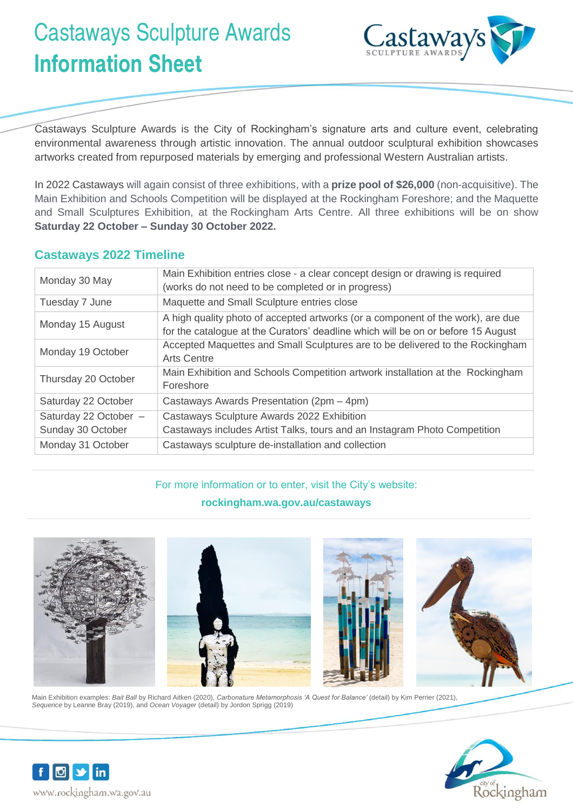# Castaways Sculpture Awards **Information Sheet**



Castaways Sculpture Awards is the City of Rockingham's signature arts and culture event, celebrating environmental awareness through artistic innovation. The annual outdoor sculptural exhibition showcases artworks created from repurposed materials by emerging and professional Western Australian artists.

In 2022 Castaways will again consist of three exhibitions, with a **prize pool of \$26,000** (non-acquisitive). The Main Exhibition and Schools Competition will be displayed at the Rockingham Foreshore; and the Maquette and Small Sculptures Exhibition, at the Rockingham Arts Centre. All three exhibitions will be on show **Saturday 22 October – Sunday 30 October 2022.**

## **Castaways 2022 Timeline**

| Monday 30 May                              | Main Exhibition entries close - a clear concept design or drawing is required<br>(works do not need to be completed or in progress)                                 |
|--------------------------------------------|---------------------------------------------------------------------------------------------------------------------------------------------------------------------|
| Tuesday 7 June                             | Maquette and Small Sculpture entries close                                                                                                                          |
| Monday 15 August                           | A high quality photo of accepted artworks (or a component of the work), are due<br>for the catalogue at the Curators' deadline which will be on or before 15 August |
| Monday 19 October                          | Accepted Maquettes and Small Sculptures are to be delivered to the Rockingham<br><b>Arts Centre</b>                                                                 |
| Thursday 20 October                        | Main Exhibition and Schools Competition artwork installation at the Rockingham<br>Foreshore                                                                         |
| Saturday 22 October                        | Castaways Awards Presentation (2pm – 4pm)                                                                                                                           |
| Saturday 22 October -<br>Sunday 30 October | Castaways Sculpture Awards 2022 Exhibition<br>Castaways includes Artist Talks, tours and an Instagram Photo Competition                                             |
| Monday 31 October                          | Castaways sculpture de-installation and collection                                                                                                                  |

#### For more information or to enter, visit the City's website:

#### **rockingham.wa.gov.au/castaways**



Main Exhibition examples: *Bait Ball* by Richard Aitken (2020), *Carbonature Metamorphosis 'A Quest for Balance'* (detail) by Kim Perrier (2021), *Sequence* by Leanne Bray (2019), and *Ocean Voyager* (detail) by Jordon Sprigg (2019)